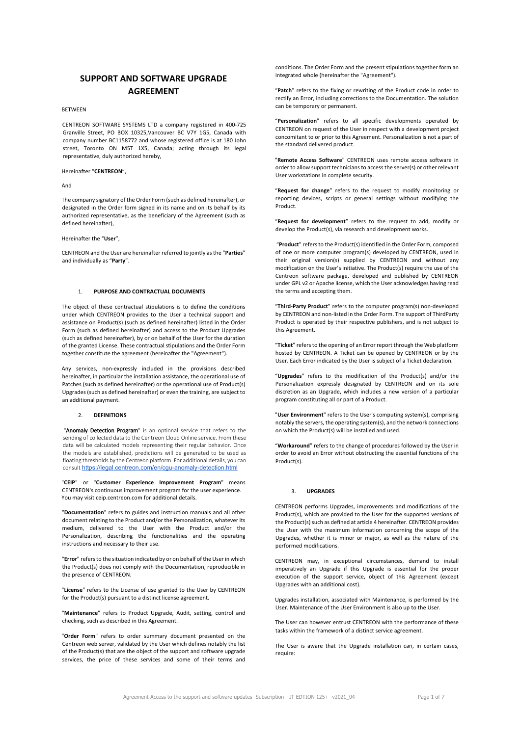# **SUPPORT AND SOFTWARE UPGRADE AGREEMENT**

# **BETWEEN**

CENTREON SOFTWARE SYSTEMS LTD a company registered in 400-725 Granville Street, PO BOX 10325,Vancouver BC V7Y 1G5, Canada with company number BC1158772 and whose registered office is at 180 John street, Toronto ON M5T 1X5, Canada; acting through its legal representative, duly authorized hereby,

#### Hereinafter "**CENTREON**",

And

The company signatory of the Order Form (such as defined hereinafter), or designated in the Order form signed in its name and on its behalf by its authorized representative, as the beneficiary of the Agreement (such as defined hereinafter),

### Hereinafter the "**User**",

CENTREON and the User are hereinafter referred to jointly as the "**Parties**" and individually as "**Party**".

### 1. **PURPOSE AND CONTRACTUAL DOCUMENTS**

The object of these contractual stipulations is to define the conditions under which CENTREON provides to the User a technical support and assistance on Product(s) (such as defined hereinafter) listed in the Order Form (such as defined hereinafter) and access to the Product Upgrades (such as defined hereinafter), by or on behalf of the User for the duration of the granted License. These contractual stipulations and the Order Form together constitute the agreement (hereinafter the "Agreement").

Any services, non-expressly included in the provisions described hereinafter, in particular the installation assistance, the operational use of Patches (such as defined hereinafter) or the operational use of Product(s) Upgrades (such as defined hereinafter) or even the training, are subject to an additional payment.

# 2. **DEFINITIONS**

"Anomaly Detection Program" is an optional service that refers to the sending of collected data to the Centreon Cloud Online service. From these data will be calculated models representing their regular behavior. Once the models are established, predictions will be generated to be used as floating thresholds by the Centreon platform. For additional details, you can consult https://legal.centreon.com/en/cgu-anomaly-detection.html

"**CEIP**" or "**Customer Experience Improvement Program**" means CENTREON's continuous improvement program for the user experience. You may visit ceip.centreon.com for additional details.

"**Documentation**" refers to guides and instruction manuals and all other document relating to the Product and/or the Personalization, whatever its medium, delivered to the User with the Product and/or the Personalization, describing the functionalities and the operating instructions and necessary to their use.

"**Error**" refers to the situation indicated by or on behalf of the User in which the Product(s) does not comply with the Documentation, reproducible in the presence of CENTREON.

"**License**" refers to the License of use granted to the User by CENTREON for the Product(s) pursuant to a distinct license agreement.

"**Maintenance**" refers to Product Upgrade, Audit, setting, control and checking, such as described in this Agreement.

"**Order Form**" refers to order summary document presented on the Centreon web server, validated by the User which defines notably the list of the Product(s) that are the object of the support and software upgrade services, the price of these services and some of their terms and conditions. The Order Form and the present stipulations together form an integrated whole (hereinafter the "Agreement").

"**Patch**" refers to the fixing or rewriting of the Product code in order to rectify an Error, including corrections to the Documentation. The solution can be temporary or permanent.

"**Personalization**" refers to all specific developments operated by CENTREON on request of the User in respect with a development project concomitant to or prior to this Agreement. Personalization is not a part of the standard delivered product.

"**Remote Access Software**" CENTREON uses remote access software in order to allow support technicians to access the server(s) or other relevant User workstations in complete security.

"**Request for change**" refers to the request to modify monitoring or reporting devices, scripts or general settings without modifying the Product.

"**Request for development**" refers to the request to add, modify or develop the Product(s), via research and development works.

"**Product**" refers to the Product(s) identified in the Order Form, composed of one or more computer program(s) developed by CENTREON, used in their original version(s) supplied by CENTREON and without any modification on the User's initiative. The Product(s) require the use of the Centreon software package, developed and published by CENTREON under GPL v2 or Apache license, which the User acknowledges having read the terms and accepting them.

"**Third-Party Product**" refers to the computer program(s) non-developed by CENTREON and non-listed in the Order Form. The support of ThirdParty Product is operated by their respective publishers, and is not subject to this Agreement.

"**Ticket**" refers to the opening of an Error report through the Web platform hosted by CENTREON. A Ticket can be opened by CENTREON or by the User. Each Error indicated by the User is subject of a Ticket declaration.

"**Upgrades**" refers to the modification of the Product(s) and/or the Personalization expressly designated by CENTREON and on its sole discretion as an Upgrade, which includes a new version of a particular program constituting all or part of a Product.

"**User Environment**" refers to the User's computing system(s), comprising notably the servers, the operating system(s), and the network connections on which the Product(s) will be installed and used.

"**Workaround**" refers to the change of procedures followed by the User in order to avoid an Error without obstructing the essential functions of the Product(s).

#### 3. **UPGRADES**

CENTREON performs Upgrades, improvements and modifications of the Product(s), which are provided to the User for the supported versions of the Product(s) such as defined at article 4 hereinafter. CENTREON provides the User with the maximum information concerning the scope of the Upgrades, whether it is minor or major, as well as the nature of the performed modifications.

CENTREON may, in exceptional circumstances, demand to install imperatively an Upgrade if this Upgrade is essential for the proper execution of the support service, object of this Agreement (except Upgrades with an additional cost).

Upgrades installation, associated with Maintenance, is performed by the User. Maintenance of the User Environment is also up to the User.

The User can however entrust CENTREON with the performance of these tasks within the framework of a distinct service agreement.

The User is aware that the Upgrade installation can, in certain cases, require: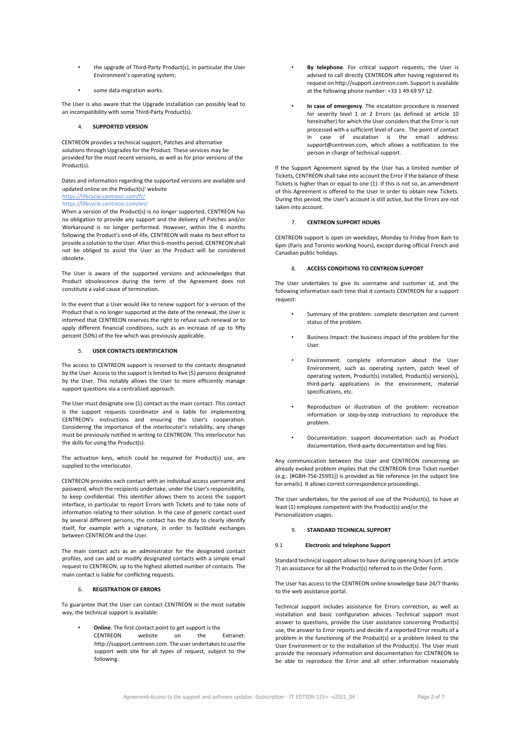- the upgrade of Third-Party Product(s), in particular the User Environment's operating system;
- some data migration works.

The User is also aware that the Upgrade installation can possibly lead to an incompatibility with some Third-Party Product(s).

### 4. **SUPPORTED VERSION**

CENTREON provides a technical support, Patches and alternative solutions through Upgrades for the Product. These services may be provided for the most recent versions, as well as for prior versions of the Product(s).

Dates and information regarding the supported versions are available and updated online on the Product(s)' website

# https://lifecycle.centreon.com/fr/

https://lifecycle.centreon.com/en/

When a version of the Product(s) is no longer supported, CENTREON has no obligation to provide any support and the delivery of Patches and/or Workaround is no longer performed. However, within the 6 months following the Product's end-of-life, CENTREON will make its best effort to provide a solution to the User. After this 6-months period, CENTREON shall not be obliged to assist the User as the Product will be considered obsolete.

The User is aware of the supported versions and acknowledges that Product obsolescence during the term of the Agreement does not constitute a valid cause of termination.

In the event that a User would like to renew support for a version of the Product that is no longer supported at the date of the renewal, the User is informed that CENTREON reserves the right to refuse such renewal or to apply different financial conditions, such as an increase of up to fifty percent (50%) of the fee which was previously applicable.

# 5. **USER CONTACTS IDENTIFICATION**

The access to CENTREON support is reserved to the contacts designated by the User. Access to the support is limited to five (5) persons designated by the User. This notably allows the User to more efficiently manage support questions via a centralized approach.

The User must designate one (1) contact as the main contact. This contact is the support requests coordinator and is liable for implementing CENTREON's instructions and ensuring the User's cooperation. Considering the importance of the interlocutor's reliability, any change must be previously notified in writing to CENTREON. This interlocutor has the skills for using the Product(s).

The activation keys, which could be required for Product(s) use, are supplied to the interlocutor.

CENTREON provides each contact with an individual access username and password, which the recipients undertake, under the User's responsibility, to keep confidential. This identifier allows them to access the support interface, in particular to report Errors with Tickets and to take note of information relating to their solution. In the case of generic contact used by several different persons, the contact has the duty to clearly identify itself, for example with a signature, in order to facilitate exchanges between CENTREON and the User.

The main contact acts as an administrator for the designated contact profiles, and can add or modify designated contacts with a simple email request to CENTREON, up to the highest allotted number of contacts. The main contact is liable for conflicting requests.

# 6. **REGISTRATION OF ERRORS**

To guarantee that the User can contact CENTREON in the most suitable way, the technical support is available:

> **Online**. The first contact point to get support is the<br>CENTREON website on the Extranet: website on http://support.centreon.com. The user undertakes to use the support web site for all types of request, subject to the following.

- By telephone. For critical support requests, the User is advised to call directly CENTREON after having registered its request on http://support.centreon.com. Support is available at the following phone number: +33 1 49 69 97 12.
- **In case of emergency**. The escalation procedure is reserved for severity level 1 or 2 Errors (as defined at article 10 hereinafter) for which the User considers that the Error is not processed with a sufficient level of care. The point of contact in case of escalation is the email address: support@centreon.com, which allows a notification to the person in charge of technical support.

If the Support Agreement signed by the User has a limited number of Tickets, CENTREON shall take into account the Error if the balance of these Tickets is higher than or equal to one (1). If this is not so, an amendment of this Agreement is offered to the User in order to obtain new Tickets. During this period, the User's account is still active, but the Errors are not taken into account.

# 7. **CENTREON SUPPORT HOURS**

CENTREON support is open on weekdays, Monday to Friday from 8am to 6pm (Paris and Toronto working hours), except during official French and Canadian public holidays.

# 8. **ACCESS CONDITIONS TO CENTREON SUPPORT**

The User undertakes to give its username and customer id, and the following information each time that it contacts CENTREON for a support request:

- Summary of the problem: complete description and current status of the problem.
- Business Impact: the business impact of the problem for the User.
- Environment: complete information about the User Environment, such as operating system, patch level of operating system, Product(s) installed, Product(s) version(s), third-party applications in the environment, material specifications, etc.
- Reproduction or illustration of the problem: recreation information or step-by-step instructions to reproduce the problem.
- Documentation: support documentation such as Product documentation, third-party documentation and log files.

Any communication between the User and CENTREON concerning an already evoked problem implies that the CENTREON Error Ticket number (e.g.: [#GBH-756-25991]) is provided as file reference (in the subject line for emails). It allows correct correspondence proceedings.

The User undertakes, for the period of use of the Product(s), to have at least (1) employee competent with the Product(s) and/or the Personalization usages.

# 9. **STANDARD TECHNICAL SUPPORT**

# 9.1 **Electronic and telephone Support**

Standard technical support allows to have during opening hours (cf. article 7) an assistance for all the Product(s) referred to in the Order Form.

The User has access to the CENTREON online knowledge base 24/7 thanks to the web assistance portal.

Technical support includes assistance for Errors correction, as well as installation and basic configuration advices. Technical support must answer to questions, provide the User assistance concerning Product(s) use, the answer to Error reports and decide if a reported Error results of a problem in the functioning of the Product(s) or a problem linked to the User Environment or to the installation of the Product(s). The User must provide the necessary information and documentation for CENTREON to be able to reproduce the Error and all other information reasonably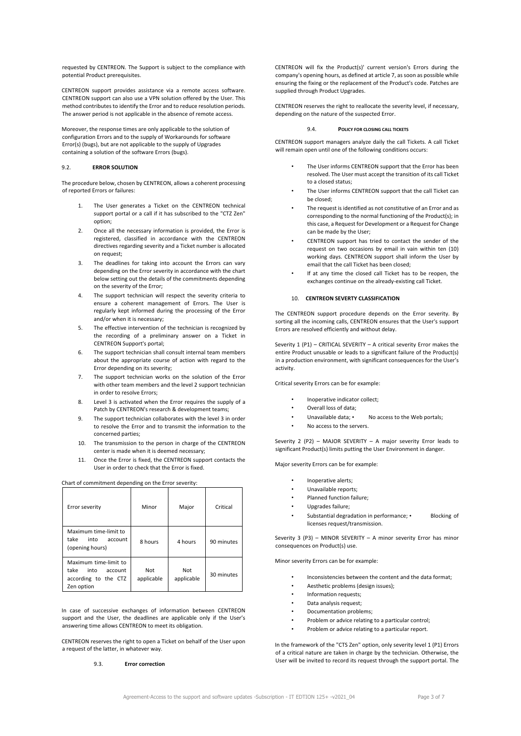requested by CENTREON. The Support is subject to the compliance with potential Product prerequisites.

CENTREON support provides assistance via a remote access software. CENTREON support can also use a VPN solution offered by the User. This method contributes to identify the Error and to reduce resolution periods. The answer period is not applicable in the absence of remote access.

Moreover, the response times are only applicable to the solution of configuration Errors and to the supply of Workarounds for software Error(s) (bugs), but are not applicable to the supply of Upgrades containing a solution of the software Errors (bugs).

# 9.2. **ERROR SOLUTION**

The procedure below, chosen by CENTREON, allows a coherent processing of reported Errors or failures:

- The User generates a Ticket on the CENTREON technical support portal or a call if it has subscribed to the "CTZ Zen" option;
- 2. Once all the necessary information is provided, the Error is registered, classified in accordance with the CENTREON directives regarding severity and a Ticket number is allocated on request;
- 3. The deadlines for taking into account the Errors can vary depending on the Error severity in accordance with the chart below setting out the details of the commitments depending on the severity of the Error;
- 4. The support technician will respect the severity criteria to ensure a coherent management of Errors. The User is regularly kept informed during the processing of the Error and/or when it is necessary;
- 5. The effective intervention of the technician is recognized by the recording of a preliminary answer on a Ticket in CENTREON Support's portal;
- 6. The support technician shall consult internal team members about the appropriate course of action with regard to the Error depending on its severity;
- 7. The support technician works on the solution of the Error with other team members and the level 2 support technician in order to resolve Errors;
- 8. Level 3 is activated when the Error requires the supply of a Patch by CENTREON's research & development teams;
- 9. The support technician collaborates with the level 3 in order to resolve the Error and to transmit the information to the concerned parties;
- 10. The transmission to the person in charge of the CENTREON center is made when it is deemed necessary;
- 11. Once the Error is fixed, the CENTREON support contacts the User in order to check that the Error is fixed.

# Chart of commitment depending on the Error severity:

| Error severity                                                                         | Minor             | Major             | Critical   |
|----------------------------------------------------------------------------------------|-------------------|-------------------|------------|
| Maximum time-limit to<br>take<br>into<br>account<br>(opening hours)                    | 8 hours           | 4 hours           | 90 minutes |
| Maximum time-limit to<br>take<br>into<br>account<br>according to the CTZ<br>Zen option | Not<br>applicable | Not<br>applicable | 30 minutes |

In case of successive exchanges of information between CENTREON support and the User, the deadlines are applicable only if the User's answering time allows CENTREON to meet its obligation.

CENTREON reserves the right to open a Ticket on behalf of the User upon a request of the latter, in whatever way.

### 9.3. **Error correction**

CENTREON will fix the Product(s)' current version's Errors during the company's opening hours, as defined at article 7, as soon as possible while ensuring the fixing or the replacement of the Product's code. Patches are supplied through Product Upgrades.

CENTREON reserves the right to reallocate the severity level, if necessary, depending on the nature of the suspected Error.

#### 9.4. **POLICY FOR CLOSING CALL TICKETS**

CENTREON support managers analyze daily the call Tickets. A call Ticket will remain open until one of the following conditions occurs:

- The User informs CENTREON support that the Error has been resolved. The User must accept the transition of its call Ticket to a closed status;
- The User informs CENTREON support that the call Ticket can be closed;
- The request is identified as not constitutive of an Error and as corresponding to the normal functioning of the Product(s); in this case, a Request for Development or a Request for Change can be made by the User;
- CENTREON support has tried to contact the sender of the request on two occasions by email in vain within ten (10) working days. CENTREON support shall inform the User by email that the call Ticket has been closed;
- If at any time the closed call Ticket has to be reopen, the exchanges continue on the already-existing call Ticket.

#### 10. **CENTREON SEVERTY CLASSIFICATION**

The CENTREON support procedure depends on the Error severity. By sorting all the incoming calls, CENTREON ensures that the User's support Errors are resolved efficiently and without delay.

Severity 1 (P1) – CRITICAL SEVERITY – A critical severity Error makes the entire Product unusable or leads to a significant failure of the Product(s) in a production environment, with significant consequences for the User's activity.

Critical severity Errors can be for example:

- Inoperative indicator collect;
- Overall loss of data;
- 
- Unavailable data; No access to the Web portals;
- No access to the servers.

Severity 2 (P2) – MAJOR SEVERITY – A major severity Error leads to significant Product(s) limits putting the User Environment in danger.

Major severity Errors can be for example:

- Inoperative alerts;
- Unavailable reports;
	- Planned function failure;
- Upgrades failure;
- Substantial degradation in performance; Blocking of licenses request/transmission.

Severity 3 (P3) – MINOR SEVERITY – A minor severity Error has minor consequences on Product(s) use.

Minor severity Errors can be for example:

- Inconsistencies between the content and the data format;
- Aesthetic problems (design issues);
- Information requests;
- Data analysis request:
- Documentation problems;
- Problem or advice relating to a particular control;
- Problem or advice relating to a particular report.

In the framework of the "CTS Zen" option, only severity level 1 (P1) Errors of a critical nature are taken in charge by the technician. Otherwise, the User will be invited to record its request through the support portal. The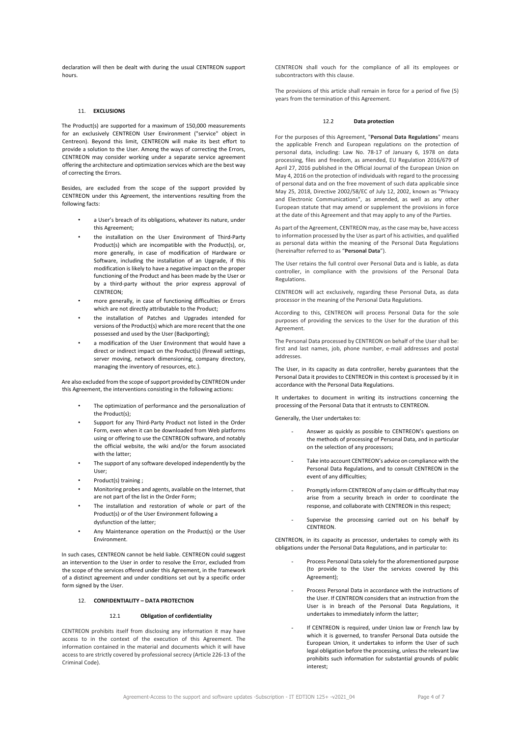declaration will then be dealt with during the usual CENTREON support hours.

# 11. **EXCLUSIONS**

The Product(s) are supported for a maximum of 150,000 measurements for an exclusively CENTREON User Environment ("service" object in Centreon). Beyond this limit, CENTREON will make its best effort to provide a solution to the User. Among the ways of correcting the Errors, CENTREON may consider working under a separate service agreement offering the architecture and optimization services which are the best way of correcting the Errors.

Besides, are excluded from the scope of the support provided by CENTREON under this Agreement, the interventions resulting from the following facts:

- a User's breach of its obligations, whatever its nature, under this Agreement;
- the installation on the User Environment of Third-Party Product(s) which are incompatible with the Product(s), or, more generally, in case of modification of Hardware or Software, including the installation of an Upgrade, if this modification is likely to have a negative impact on the proper functioning of the Product and has been made by the User or by a third-party without the prior express approval of CENTREON;
- more generally, in case of functioning difficulties or Errors which are not directly attributable to the Product;
- the installation of Patches and Upgrades intended for versions of the Product(s) which are more recent that the one possessed and used by the User (Backporting);
- a modification of the User Environment that would have a direct or indirect impact on the Product(s) (firewall settings, server moving, network dimensioning, company directory, managing the inventory of resources, etc.).

Are also excluded from the scope of support provided by CENTREON under this Agreement, the interventions consisting in the following actions:

- The optimization of performance and the personalization of the Product(s);
- Support for any Third-Party Product not listed in the Order Form, even when it can be downloaded from Web platforms using or offering to use the CENTREON software, and notably the official website, the wiki and/or the forum associated with the latter;
- The support of any software developed independently by the User;
- Product(s) training;
- Monitoring probes and agents, available on the Internet, that are not part of the list in the Order Form;
- The installation and restoration of whole or part of the Product(s) or of the User Environment following a dysfunction of the latter;
- Any Maintenance operation on the Product(s) or the User Environment.

In such cases, CENTREON cannot be held liable. CENTREON could suggest an intervention to the User in order to resolve the Error, excluded from the scope of the services offered under this Agreement, in the framework of a distinct agreement and under conditions set out by a specific order form signed by the User.

# 12. **CONFIDENTIALITY – DATA PROTECTION**

# 12.1 **Obligation of confidentiality**

CENTREON prohibits itself from disclosing any information it may have access to in the context of the execution of this Agreement. The information contained in the material and documents which it will have access to are strictly covered by professional secrecy (Article 226-13 of the Criminal Code).

CENTREON shall vouch for the compliance of all its employees or subcontractors with this clause.

The provisions of this article shall remain in force for a period of five (5) years from the termination of this Agreement.

#### 12.2 **Data protection**

For the purposes of this Agreement, "**Personal Data Regulations**" means the applicable French and European regulations on the protection of personal data, including: Law No. 78-17 of January 6, 1978 on data processing, files and freedom, as amended, EU Regulation 2016/679 of April 27, 2016 published in the Official Journal of the European Union on May 4, 2016 on the protection of individuals with regard to the processing of personal data and on the free movement of such data applicable since May 25, 2018, Directive 2002/58/EC of July 12, 2002, known as "Privacy and Electronic Communications", as amended, as well as any other European statute that may amend or supplement the provisions in force at the date of this Agreement and that may apply to any of the Parties.

As part of the Agreement, CENTREON may, as the case may be, have access to information processed by the User as part of his activities, and qualified as personal data within the meaning of the Personal Data Regulations (hereinafter referred to as "**Personal Data**").

The User retains the full control over Personal Data and is liable, as data controller, in compliance with the provisions of the Personal Data Regulations.

CENTREON will act exclusively, regarding these Personal Data, as data processor in the meaning of the Personal Data Regulations.

According to this, CENTREON will process Personal Data for the sole purposes of providing the services to the User for the duration of this Agreement.

The Personal Data processed by CENTREON on behalf of the User shall be: first and last names, job, phone number, e-mail addresses and postal addresses.

The User, in its capacity as data controller, hereby guarantees that the Personal Data it provides to CENTREON in this context is processed by it in accordance with the Personal Data Regulations.

It undertakes to document in writing its instructions concerning the processing of the Personal Data that it entrusts to CENTREON.

Generally, the User undertakes to:

- Answer as quickly as possible to CENTREON's questions on the methods of processing of Personal Data, and in particular on the selection of any processors;
- Take into account CENTREON's advice on compliance with the Personal Data Regulations, and to consult CENTREON in the event of any difficulties;
- Promptly inform CENTREON of any claim or difficulty that may arise from a security breach in order to coordinate the response, and collaborate with CENTREON in this respect;
- Supervise the processing carried out on his behalf by CENTREON.

CENTREON, in its capacity as processor, undertakes to comply with its obligations under the Personal Data Regulations, and in particular to:

- Process Personal Data solely for the aforementioned purpose (to provide to the User the services covered by this Agreement);
- Process Personal Data in accordance with the instructions of the User. If CENTREON considers that an instruction from the User is in breach of the Personal Data Regulations, it undertakes to immediately inform the latter;
- If CENTREON is required, under Union law or French law by which it is governed, to transfer Personal Data outside the European Union, it undertakes to inform the User of such legal obligation before the processing, unless the relevant law prohibits such information for substantial grounds of public interest;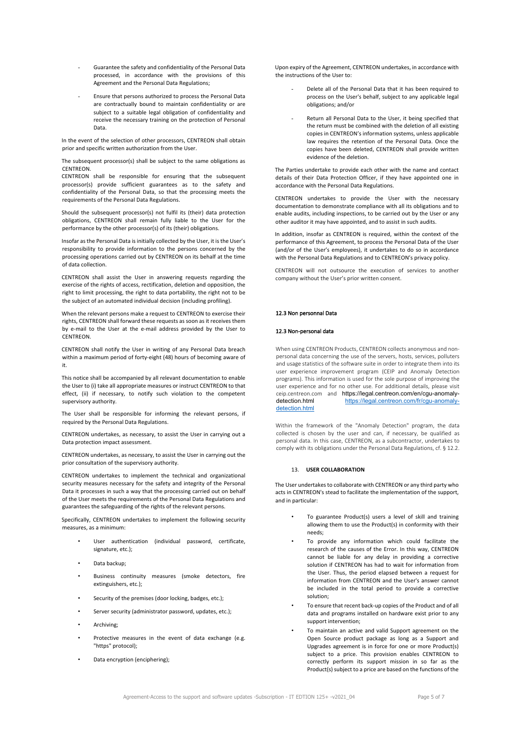- Guarantee the safety and confidentiality of the Personal Data processed, in accordance with the provisions of this Agreement and the Personal Data Regulations;
- Ensure that persons authorized to process the Personal Data are contractually bound to maintain confidentiality or are subject to a suitable legal obligation of confidentiality and receive the necessary training on the protection of Personal Data.

In the event of the selection of other processors, CENTREON shall obtain prior and specific written authorization from the User.

The subsequent processor(s) shall be subject to the same obligations as CENTREON.

CENTREON shall be responsible for ensuring that the subsequent processor(s) provide sufficient guarantees as to the safety and confidentiality of the Personal Data, so that the processing meets the requirements of the Personal Data Regulations.

Should the subsequent processor(s) not fulfil its (their) data protection obligations, CENTREON shall remain fully liable to the User for the performance by the other processor(s) of its (their) obligations.

Insofar as the Personal Data is initially collected by the User, it is the User's responsibility to provide information to the persons concerned by the processing operations carried out by CENTREON on its behalf at the time of data collection.

CENTREON shall assist the User in answering requests regarding the exercise of the rights of access, rectification, deletion and opposition, the right to limit processing, the right to data portability, the right not to be the subject of an automated individual decision (including profiling).

When the relevant persons make a request to CENTREON to exercise their rights, CENTREON shall forward these requests as soon as it receives them by e-mail to the User at the e-mail address provided by the User to **CENTREON** 

CENTREON shall notify the User in writing of any Personal Data breach within a maximum period of forty-eight (48) hours of becoming aware of it.

This notice shall be accompanied by all relevant documentation to enable the User to (i) take all appropriate measures or instruct CENTREON to that effect, (ii) if necessary, to notify such violation to the competent supervisory authority.

The User shall be responsible for informing the relevant persons, if required by the Personal Data Regulations.

CENTREON undertakes, as necessary, to assist the User in carrying out a Data protection impact assessment.

CENTREON undertakes, as necessary, to assist the User in carrying out the prior consultation of the supervisory authority.

CENTREON undertakes to implement the technical and organizational security measures necessary for the safety and integrity of the Personal Data it processes in such a way that the processing carried out on behalf of the User meets the requirements of the Personal Data Regulations and guarantees the safeguarding of the rights of the relevant persons.

Specifically, CENTREON undertakes to implement the following security measures, as a minimum:

- User authentication (individual password, certificate, signature, etc.);
- Data backup;
- Business continuity measures (smoke detectors, fire extinguishers, etc.);
- Security of the premises (door locking, badges, etc.);
- Server security (administrator password, updates, etc.);
- Archiving;
- Protective measures in the event of data exchange (e.g. "https" protocol);
- Data encryption (enciphering);

Upon expiry of the Agreement, CENTREON undertakes, in accordance with the instructions of the User to:

- Delete all of the Personal Data that it has been required to process on the User's behalf, subject to any applicable legal obligations; and/or
- Return all Personal Data to the User, it being specified that the return must be combined with the deletion of all existing copies in CENTREON's information systems, unless applicable law requires the retention of the Personal Data. Once the copies have been deleted, CENTREON shall provide written evidence of the deletion.

The Parties undertake to provide each other with the name and contact details of their Data Protection Officer, if they have appointed one in accordance with the Personal Data Regulations.

CENTREON undertakes to provide the User with the necessary documentation to demonstrate compliance with all its obligations and to enable audits, including inspections, to be carried out by the User or any other auditor it may have appointed, and to assist in such audits.

In addition, insofar as CENTREON is required, within the context of the performance of this Agreement, to process the Personal Data of the User (and/or of the User's employees), it undertakes to do so in accordance with the Personal Data Regulations and to CENTREON's privacy policy.

CENTREON will not outsource the execution of services to another company without the User's prior written consent.

# 12.3 Non personnal Data

# 12.3 Non-personal data

When using CENTREON Products, CENTREON collects anonymous and nonpersonal data concerning the use of the servers, hosts, services, polluters and usage statistics of the software suite in order to integrate them into its user experience improvement program (CEIP and Anomaly Detection programs). This information is used for the sole purpose of improving the user experience and for no other use. For additional details, please visit ceip.centreon.com and https://legal.centreon.com/en/cgu-anomaly-<br>detection.html https://legal.centreon.com/fr/cgu-anomalyhttps://legal.centreon.com/fr/cgu-anomalydetection.html

Within the framework of the "Anomaly Detection" program, the data collected is chosen by the user and can, if necessary, be qualified as personal data. In this case, CENTREON, as a subcontractor, undertakes to comply with its obligations under the Personal Data Regulations, cf. § 12.2.

### 13. **USER COLLABORATION**

The User undertakes to collaborate with CENTREON or any third party who acts in CENTREON's stead to facilitate the implementation of the support, and in particular:

- To guarantee Product(s) users a level of skill and training allowing them to use the Product(s) in conformity with their needs;
- To provide any information which could facilitate the research of the causes of the Error. In this way, CENTREON cannot be liable for any delay in providing a corrective solution if CENTREON has had to wait for information from the User. Thus, the period elapsed between a request for information from CENTREON and the User's answer cannot be included in the total period to provide a corrective solution;
- To ensure that recent back-up copies of the Product and of all data and programs installed on hardware exist prior to any support intervention;
- To maintain an active and valid Support agreement on the Open Source product package as long as a Support and Upgrades agreement is in force for one or more Product(s) subject to a price. This provision enables CENTREON to correctly perform its support mission in so far as the Product(s) subject to a price are based on the functions of the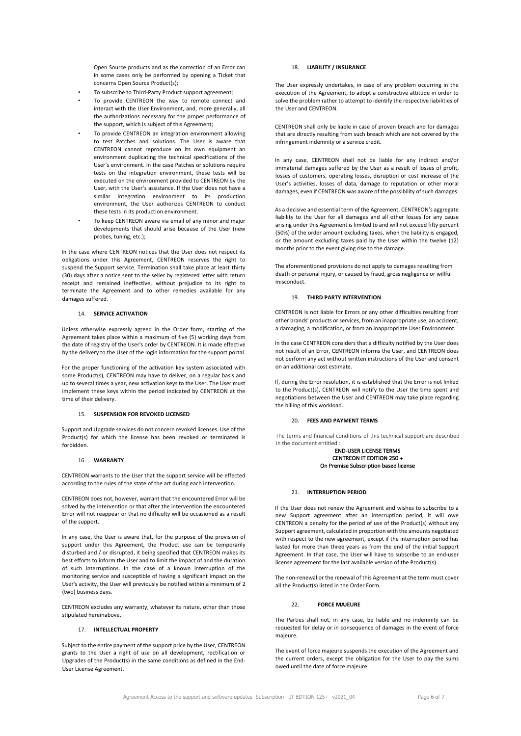Open Source products and as the correction of an Error can in some cases only be performed by opening a Ticket that concerns Open Source Product(s);

- To subscribe to Third-Party Product support agreement;
- To provide CENTREON the way to remote connect and interact with the User Environment, and, more generally, all the authorizations necessary for the proper performance of the support, which is subject of this Agreement;
- To provide CENTREON an integration environment allowing to test Patches and solutions. The User is aware that CENTREON cannot reproduce on its own equipment an environment duplicating the technical specifications of the User's environment. In the case Patches or solutions require tests on the integration environment, these tests will be executed on the environment provided to CENTREON by the User, with the User's assistance. If the User does not have a similar integration environment to its production environment, the User authorizes CENTREON to conduct these tests in its production environment.
- To keep CENTREON aware via email of any minor and major developments that should arise because of the User (new probes, tuning, etc.);

In the case where CENTREON notices that the User does not respect its obligations under this Agreement, CENTREON reserves the right to suspend the Support service. Termination shall take place at least thirty (30) days after a notice sent to the seller by registered letter with return receipt and remained ineffective, without prejudice to its right to terminate the Agreement and to other remedies available for any damages suffered.

# 14. **SERVICE ACTIVATION**

Unless otherwise expressly agreed in the Order form, starting of the Agreement takes place within a maximum of five (5) working days from the date of registry of the User's order by CENTREON. It is made effective by the delivery to the User of the login information for the support portal.

For the proper functioning of the activation key system associated with some Product(s), CENTREON may have to deliver, on a regular basis and up to several times a year, new activation keys to the User. The User must implement these keys within the period indicated by CENTREON at the time of their delivery.

#### 15. **SUSPENSION FOR REVOKED LICENSED**

Support and Upgrade services do not concern revoked licenses. Use of the Product(s) for which the license has been revoked or terminated is forbidden.

### 16. **WARRANTY**

CENTREON warrants to the User that the support service will be effected according to the rules of the state of the art during each intervention.

CENTREON does not, however, warrant that the encountered Error will be solved by the intervention or that after the intervention the encountered Error will not reappear or that no difficulty will be occasioned as a result of the support.

In any case, the User is aware that, for the purpose of the provision of support under this Agreement, the Product use can be temporarily disturbed and / or disrupted, it being specified that CENTREON makes its best efforts to inform the User and to limit the impact of and the duration of such interruptions. In the case of a known interruption of the monitoring service and susceptible of having a significant impact on the User's activity, the User will previously be notified within a minimum of 2 (two) business days.

CENTREON excludes any warranty, whatever its nature, other than those stipulated hereinabove.

# 17. **INTELLECTUAL PROPERTY**

Subject to the entire payment of the support price by the User, CENTREON grants to the User a right of use on all development, rectification or Upgrades of the Product(s) in the same conditions as defined in the End-User License Agreement.

### 18. **LIABILITY / INSURANCE**

The User expressly undertakes, in case of any problem occurring in the execution of the Agreement, to adopt a constructive attitude in order to solve the problem rather to attempt to identify the respective liabilities of the User and CENTREON.

CENTREON shall only be liable in case of proven breach and for damages that are directly resulting from such breach which are not covered by the infringement indemnity or a service credit.

In any case, CENTREON shall not be liable for any indirect and/or immaterial damages suffered by the User as a result of losses of profit, losses of customers, operating losses, disruption or cost increase of the User's activities, losses of data, damage to reputation or other moral damages, even if CENTREON was aware of the possibility of such damages.

As a decisive and essential term of the Agreement, CENTREON's aggregate liability to the User for all damages and all other losses for any cause arising under this Agreement is limited to and will not exceed fifty percent (50%) of the order amount excluding taxes, when the liability is engaged, or the amount excluding taxes paid by the User within the twelve (12) months prior to the event giving rise to the damage.

The aforementioned provisions do not apply to damages resulting from death or personal injury, or caused by fraud, gross negligence or willful misconduct.

# 19. **THIRD PARTY INTERVENTION**

CENTREON is not liable for Errors or any other difficulties resulting from other brands' products or services, from an inappropriate use, an accident, a damaging, a modification, or from an inappropriate User Environment.

In the case CENTREON considers that a difficulty notified by the User does not result of an Error, CENTREON informs the User, and CENTREON does not perform any act without written instructions of the User and consent on an additional cost estimate.

If, during the Error resolution, it is established that the Error is not linked to the Product(s), CENTREON will notify to the User the time spent and negotiations between the User and CENTREON may take place regarding the billing of this workload.

# 20. **FEES AND PAYMENT TERMS**

The terms and financial conditions of this technical support are described in the document entitled :

### END-USER LICENSE TERMS CENTREON IT EDITION 250 + On Premise Subscription based license

### 21. **INTERRUPTION PERIOD**

If the User does not renew the Agreement and wishes to subscribe to a new Support agreement after an interruption period, it will owe CENTREON a penalty for the period of use of the Product(s) without any Support agreement, calculated in proportion with the amounts negotiated with respect to the new agreement, except if the interruption period has lasted for more than three years as from the end of the initial Support Agreement. In that case, the User will have to subscribe to an end-user license agreement for the last available version of the Product(s).

The non-renewal or the renewal of this Agreement at the term must cover all the Product(s) listed in the Order Form.

#### 22. **FORCE MAJEURE**

The Parties shall not, in any case, be liable and no indemnity can be requested for delay or in consequence of damages in the event of force majeure.

The event of force majeure suspends the execution of the Agreement and the current orders, except the obligation for the User to pay the sums owed until the date of force majeure.